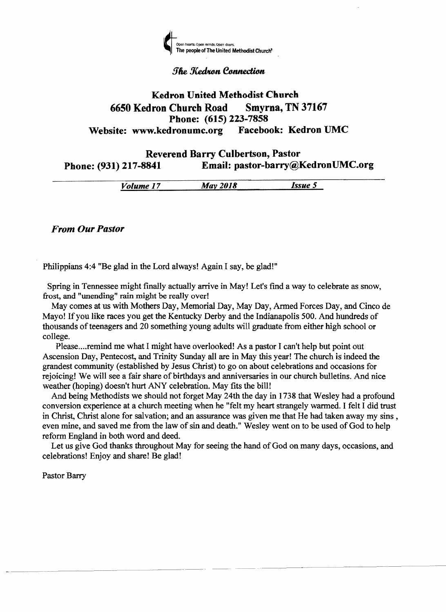

## **The Kedron Connection**

# Kedron United Methodist Church 6650 Kedron Church Road Smyrna, TN 37167 Phone: (615) 223-7858<br>dronumc.org Facebook: Kedron UMC Website: www.kedronumc.org

## Reverend Barry Culbertson, Pastor Phone: (931) 217-8841 Email: pastor-barry@KedronUMC.org

*Volume 17 May 2018 Issue 5* 

*From Our Pastor* 

Philippians 4:4 "Be glad in the Lord always! Again I say, be glad!"

Spring in Tennessee might finally actually arrive in May! Let's find a way to celebrate as snow, frost, and "unending" rain might be really over!

May comes at us with Mothers Day, Memorial Day, May Day, Anned Forces Day, and Cinco de Mayo! If you like races you get the Kentucky Derby and the Indianapolis 500. And hundreds of thousands of teenagers and 20 something young adults will graduate from either high school or college.

Please.... remind me what I might have overlooked! As a pastor I can't help but point out Ascension Day, Pentecost, and Trinity Sunday all are in May this year! The church is indeed the grandest community (established by Jesus Christ) to go on about celebrations and occasions for rejoicing! We will see a fair share of birthdays and anniversaries in our church bulletins. And nice weather (hoping) doesn't hurt ANY celebration. May fits the bill!

And being Methodists we should not forget May 24th the day in 1738 that Wesley had a profound conversion experience at a church meeting when he "felt my heart strangely warmed. I felt I did trust in Christ, Christ alone for salvation; and an assurance was given me that He had taken away my sins, even mine, and saved me from the law of sin and death." Wesley went on to be used of God to help reform England in both word and deed.

Let us give God thanks throughout May for seeing the hand of God on many days, occasions, and celebrations! Enjoy and share! Be glad!

--...---..--.. ....--

Pastor Barry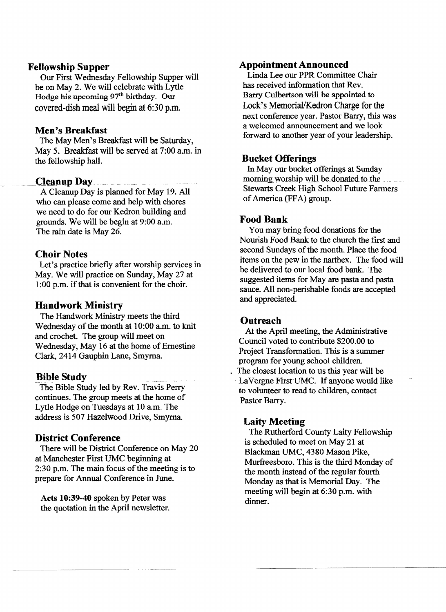## Fellowship Supper

Our First Wednesday Fellowship Supper will be on May 2. We will celebrate with Lytle Hodge his upcoming 97<sup>th</sup> birthday. Our covered-dish meal will begin at 6:30 p.m.

## Men's Breakfast

The May Men's Breakfast will be Saturday, May 5. Breakfast will be served at 7:00 a.m. in the fellowship hall.

## Cleanup Day

A Cleanup Day is planned for May 19. All who can please come and help with chores we need to do for our Kedron building and grounds. We will be begin at 9:00 a.m. The rain date is May 26.

## Choir Notes

Let's practice briefly after worship services in May. We will practice on Sunday, May 27 at 1:00 p.m. if that is convenient for the choir.

## Handwork Ministry

The Handwork Ministry meets the third Wednesday of the month at 10:00 a.m. to knit and crochet. The group will meet on Wednesday, May 16 at the home of Ernestine Clark, 2414 Gauphin Lane, Smyrna.

#### **Bible Study**

The Bible Study led by Rev. Travis Perry continues. The group meets at the home of Lytle Hodge on Tuesdays at 10 a.m. The address is 507 Hazelwood Drive, Smyrna.

## District Conference

There will be District Conference on May 20 at Manchester First UMC beginning at  $2:30$  p.m. The main focus of the meeting is to prepare for Annual Conference in June.

Acts 10:39-40 spoken by Peter was the quotation in the April newsletter.

#### Appointment Announced

Linda Lee our PPR Committee Chair has received information that Rev. Barry Culbertson will be appointed to Lock's Memorial/Kedron Charge for the next conference year. Pastor Barry, this was a welcomed announcement and we look forward to another year of your leadership.

#### Bucket Offerings

In May our bucket offerings at Sunday morning worship will be donated to the Stewarts Creek High School Future Farmers of America (FFA) group.

## Food Bank

You may bring food donations for the Nourish Food Bank to the church the first and second Sundays of the month. Place the food items on the pew in the narthex. The food will be delivered to our local food bank. The suggested items for May are pasta and pasta sauce. All non-perishable foods are accepted and appreciated.

#### **Outreach**

At the April meeting, the Administrative Council voted to contribute \$200.00 to Project Transformation. This is a summer program for young school children. . The closest location to us this year will be LaVergne First-UMC. If anyone would like to volunteer to read to children, contact Pastor Barry.

#### Laity Meeting

The Rutherford County Laity Fellowship is scheduled to meet on May 21 at Blackman UMC, 4380 Mason Pike, Murfreesboro. This is the third Monday of the month instead of the regular fourth Monday as that is Memorial Day. The meeting will begin at 6:30 p.m. with dinner.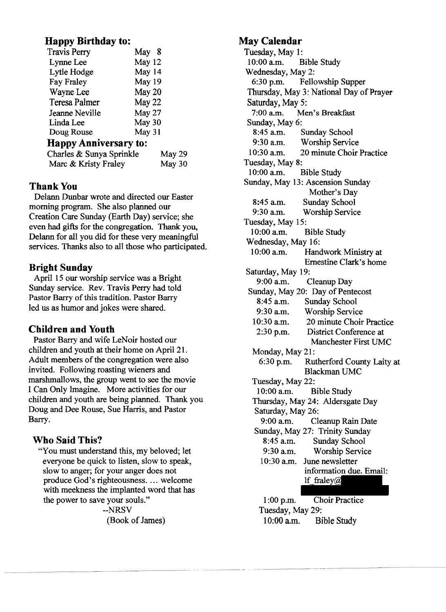# **Happy Birthday to:**

| <b>Travis Perry</b>          | May 8  |
|------------------------------|--------|
| Lynne Lee                    | May 12 |
| Lytle Hodge                  | May 14 |
| Fay Fraley                   | May 19 |
| Wayne Lee                    | May 20 |
| Teresa Palmer                | May 22 |
| Jeanne Neville               | May 27 |
| Linda Lee                    | May 30 |
| Doug Rouse                   | May 31 |
| <b>Happy Anniversary to:</b> |        |
| Charles & Sunya Sprinkle     | May 29 |
| Marc & Kristy Fraley         | May 30 |
|                              |        |

# Thank You

Delann Dunbar wrote and directed our Easter morning program. She also planned our Creation Care Sunday (Earth Day) service; she even had gifts for the congregation. Thank you, Delann for all you did for these very meaningful services. Thanks also to all those who participated.

## **Bright Sunday**

April 15 our worship service was a Bright Sunday service. Rev. Travis Perry had told Pastor Barry of this tradition. Pastor Barry led us as humor and jokes were shared.

# **Children and Youth**

Pastor Barry and wife LeNoir hosted our children and youth at their home on April 21. Adult members of the congregation were also invited. Following roasting wieners and marshmallows, the group went to see the movie I Can Only Imagine. More activities for our children and youth are being planned. Thank you Doug and Dee Rouse, Sue Harris, and Pastor Barry.

## **Who Said This?**

"You must understand this, my beloved; let everyone be quick to listen, slow to speak, slow to anger; for your anger does not produce God's righteousness.... welcome with meekness the implanted word that has the power to save your souls."

--NRSV (Book of James)

# **May Calendar**

Tuesday, May 1:<br> $10:00$  a.m. B **Bible Study** Wednesday, May 2: 6:30 p.m. Fellowship Supper Thursday, May 3: National Day of Prayer Saturday, May 5:<br>7:00 a.m. Me Men's Breakfast Sunday, May 6:<br>8:45 a.m. 8:45 a.m. Sunday School<br>9:30 a.m. Worship Servic 9:30 a.m. Worship Service<br>10:30 a.m. 20 minute Choir 20 minute Choir Practice Tuesday, May 8:<br>10:00 a.m. **Bible Study** Sunday, May 13: Ascension Sunday Mother's Day 8:45 a.m. Sunday School<br>9:30 a.m. Worship Servic Worship Service Tuesday, May 15:<br>10:00 a.m. I **Bible Study** Wednesday, May 16: 10:00 a.m. Handwork Ministry at Ernestine Clark's home Saturday, May 19:<br>9:00 a.m. Cleanup Day Sunday, May 20: Day of Pentecost 8:45 a.m. Sunday School<br>9:30 a.m. Worship Servic Worship Service 10:30 am. 20 minute Choir Practice 2:30 p.m. District Conference at Manchester First UMC Monday, May 21: 6:30 p.m. Rutherford County Laity at Blackman UMC Tuesday, May 22: 10:00 a.m. Bible Study Thursday, May 24: Aldersgate Day Saturday, May 26:<br>9:00 a.m. Clo Cleanup Rain Date Sunday, May 27: Trinity Sunday 8:45 a.m. Sunday School 9:30 a.m. Worship Service 10:30 a.m. June newsletter information due. Email:<br>
If fraley@ 1:00 p.m. Choir Practice

Tuesday, May 29: 10:00 a.m. Bible Study